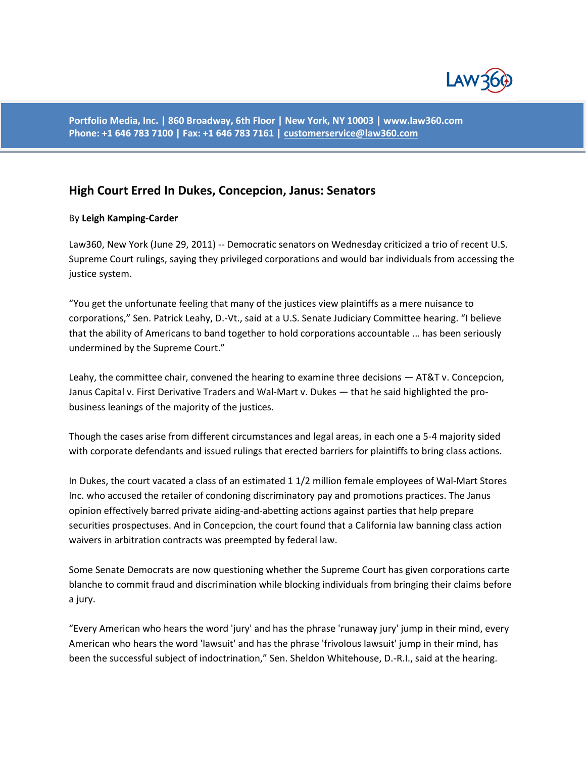

**Portfolio Media, Inc. | 860 Broadway, 6th Floor | New York, NY 10003 | www.law360.com Phone: +1 646 783 7100 | Fax: +1 646 783 7161 [| customerservice@law360.com](mailto:customerservice@law360.com)**

## **High Court Erred In Dukes, Concepcion, Janus: Senators**

## By **Leigh Kamping-Carder**

Law360, New York (June 29, 2011) -- Democratic senators on Wednesday criticized a trio of recent U.S. Supreme Court rulings, saying they privileged corporations and would bar individuals from accessing the justice system.

"You get the unfortunate feeling that many of the justices view plaintiffs as a mere nuisance to corporations," Sen. Patrick Leahy, D.-Vt., said at a U.S. Senate Judiciary Committee hearing. "I believe that the ability of Americans to band together to hold corporations accountable ... has been seriously undermined by the Supreme Court."

Leahy, the committee chair, convened the hearing to examine three decisions — AT&T v. Concepcion, Janus Capital v. First Derivative Traders and Wal-Mart v. Dukes — that he said highlighted the probusiness leanings of the majority of the justices.

Though the cases arise from different circumstances and legal areas, in each one a 5-4 majority sided with corporate defendants and issued rulings that erected barriers for plaintiffs to bring class actions.

In Dukes, the court vacated a class of an estimated 1 1/2 million female employees of Wal-Mart Stores Inc. who accused the retailer of condoning discriminatory pay and promotions practices. The Janus opinion effectively barred private aiding-and-abetting actions against parties that help prepare securities prospectuses. And in Concepcion, the court found that a California law banning class action waivers in arbitration contracts was preempted by federal law.

Some Senate Democrats are now questioning whether the Supreme Court has given corporations carte blanche to commit fraud and discrimination while blocking individuals from bringing their claims before a jury.

"Every American who hears the word 'jury' and has the phrase 'runaway jury' jump in their mind, every American who hears the word 'lawsuit' and has the phrase 'frivolous lawsuit' jump in their mind, has been the successful subject of indoctrination," Sen. Sheldon Whitehouse, D.-R.I., said at the hearing.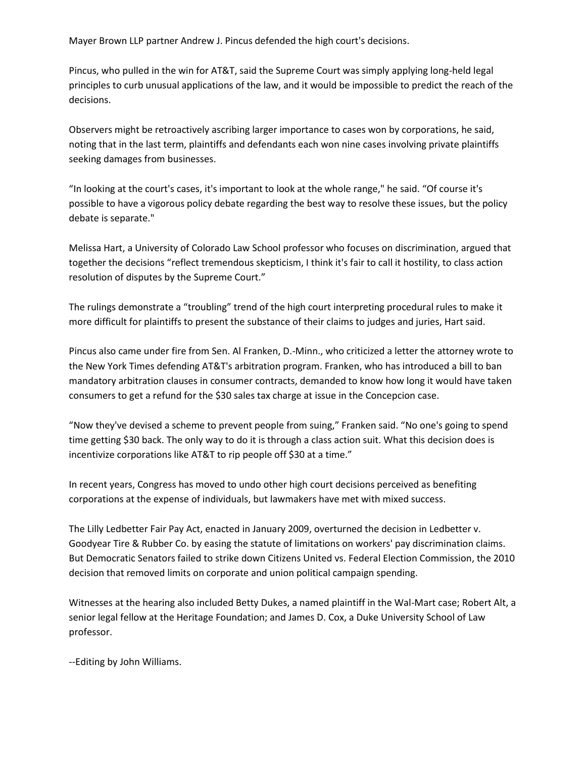Mayer Brown LLP partner Andrew J. Pincus defended the high court's decisions.

Pincus, who pulled in the win for AT&T, said the Supreme Court was simply applying long-held legal principles to curb unusual applications of the law, and it would be impossible to predict the reach of the decisions.

Observers might be retroactively ascribing larger importance to cases won by corporations, he said, noting that in the last term, plaintiffs and defendants each won nine cases involving private plaintiffs seeking damages from businesses.

"In looking at the court's cases, it's important to look at the whole range," he said. "Of course it's possible to have a vigorous policy debate regarding the best way to resolve these issues, but the policy debate is separate."

Melissa Hart, a University of Colorado Law School professor who focuses on discrimination, argued that together the decisions "reflect tremendous skepticism, I think it's fair to call it hostility, to class action resolution of disputes by the Supreme Court."

The rulings demonstrate a "troubling" trend of the high court interpreting procedural rules to make it more difficult for plaintiffs to present the substance of their claims to judges and juries, Hart said.

Pincus also came under fire from Sen. Al Franken, D.-Minn., who criticized a letter the attorney wrote to the New York Times defending AT&T's arbitration program. Franken, who has introduced a bill to ban mandatory arbitration clauses in consumer contracts, demanded to know how long it would have taken consumers to get a refund for the \$30 sales tax charge at issue in the Concepcion case.

"Now they've devised a scheme to prevent people from suing," Franken said. "No one's going to spend time getting \$30 back. The only way to do it is through a class action suit. What this decision does is incentivize corporations like AT&T to rip people off \$30 at a time."

In recent years, Congress has moved to undo other high court decisions perceived as benefiting corporations at the expense of individuals, but lawmakers have met with mixed success.

The Lilly Ledbetter Fair Pay Act, enacted in January 2009, overturned the decision in Ledbetter v. Goodyear Tire & Rubber Co. by easing the statute of limitations on workers' pay discrimination claims. But Democratic Senators failed to strike down Citizens United vs. Federal Election Commission, the 2010 decision that removed limits on corporate and union political campaign spending.

Witnesses at the hearing also included Betty Dukes, a named plaintiff in the Wal-Mart case; Robert Alt, a senior legal fellow at the Heritage Foundation; and James D. Cox, a Duke University School of Law professor.

--Editing by John Williams.